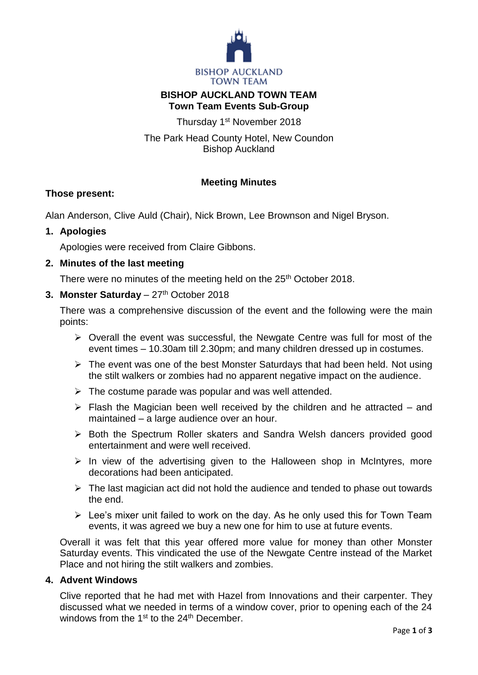

# **BISHOP AUCKLAND TOWN TEAM Town Team Events Sub-Group**

Thursday 1<sup>st</sup> November 2018

The Park Head County Hotel, New Coundon Bishop Auckland

## **Meeting Minutes**

## **Those present:**

Alan Anderson, Clive Auld (Chair), Nick Brown, Lee Brownson and Nigel Bryson.

## **1. Apologies**

Apologies were received from Claire Gibbons.

## **2. Minutes of the last meeting**

There were no minutes of the meeting held on the 25<sup>th</sup> October 2018.

## **3. Monster Saturday** – 27 th October 2018

There was a comprehensive discussion of the event and the following were the main points:

- $\triangleright$  Overall the event was successful, the Newgate Centre was full for most of the event times – 10.30am till 2.30pm; and many children dressed up in costumes.
- $\triangleright$  The event was one of the best Monster Saturdays that had been held. Not using the stilt walkers or zombies had no apparent negative impact on the audience.
- $\triangleright$  The costume parade was popular and was well attended.
- $\triangleright$  Flash the Magician been well received by the children and he attracted and maintained – a large audience over an hour.
- ▶ Both the Spectrum Roller skaters and Sandra Welsh dancers provided good entertainment and were well received.
- $\triangleright$  In view of the advertising given to the Halloween shop in McIntyres, more decorations had been anticipated.
- $\triangleright$  The last magician act did not hold the audience and tended to phase out towards the end.
- $\triangleright$  Lee's mixer unit failed to work on the day. As he only used this for Town Team events, it was agreed we buy a new one for him to use at future events.

Overall it was felt that this year offered more value for money than other Monster Saturday events. This vindicated the use of the Newgate Centre instead of the Market Place and not hiring the stilt walkers and zombies.

## **4. Advent Windows**

Clive reported that he had met with Hazel from Innovations and their carpenter. They discussed what we needed in terms of a window cover, prior to opening each of the 24 windows from the  $1<sup>st</sup>$  to the  $24<sup>th</sup>$  December.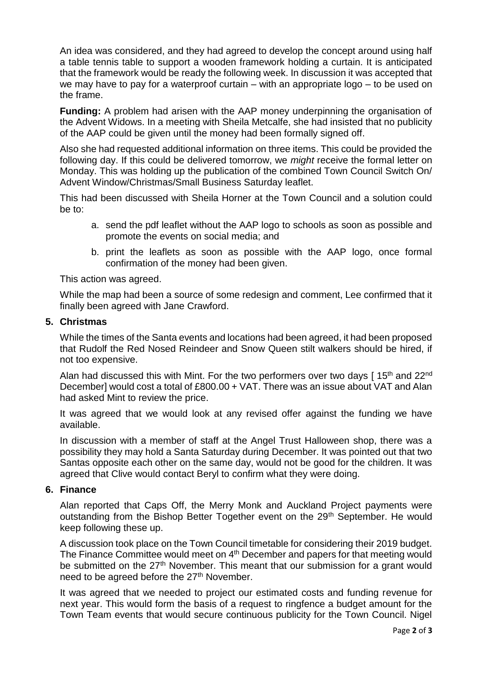An idea was considered, and they had agreed to develop the concept around using half a table tennis table to support a wooden framework holding a curtain. It is anticipated that the framework would be ready the following week. In discussion it was accepted that we may have to pay for a waterproof curtain – with an appropriate logo – to be used on the frame.

**Funding:** A problem had arisen with the AAP money underpinning the organisation of the Advent Widows. In a meeting with Sheila Metcalfe, she had insisted that no publicity of the AAP could be given until the money had been formally signed off.

Also she had requested additional information on three items. This could be provided the following day. If this could be delivered tomorrow, we *might* receive the formal letter on Monday. This was holding up the publication of the combined Town Council Switch On/ Advent Window/Christmas/Small Business Saturday leaflet.

This had been discussed with Sheila Horner at the Town Council and a solution could be to:

- a. send the pdf leaflet without the AAP logo to schools as soon as possible and promote the events on social media; and
- b. print the leaflets as soon as possible with the AAP logo, once formal confirmation of the money had been given.

This action was agreed.

While the map had been a source of some redesign and comment, Lee confirmed that it finally been agreed with Jane Crawford.

#### **5. Christmas**

While the times of the Santa events and locations had been agreed, it had been proposed that Rudolf the Red Nosed Reindeer and Snow Queen stilt walkers should be hired, if not too expensive.

Alan had discussed this with Mint. For the two performers over two days [15<sup>th</sup> and 22<sup>nd</sup> December] would cost a total of £800.00 + VAT. There was an issue about VAT and Alan had asked Mint to review the price.

It was agreed that we would look at any revised offer against the funding we have available.

In discussion with a member of staff at the Angel Trust Halloween shop, there was a possibility they may hold a Santa Saturday during December. It was pointed out that two Santas opposite each other on the same day, would not be good for the children. It was agreed that Clive would contact Beryl to confirm what they were doing.

#### **6. Finance**

Alan reported that Caps Off, the Merry Monk and Auckland Project payments were outstanding from the Bishop Better Together event on the 29<sup>th</sup> September. He would keep following these up.

A discussion took place on the Town Council timetable for considering their 2019 budget. The Finance Committee would meet on 4<sup>th</sup> December and papers for that meeting would be submitted on the 27<sup>th</sup> November. This meant that our submission for a grant would need to be agreed before the 27<sup>th</sup> November.

It was agreed that we needed to project our estimated costs and funding revenue for next year. This would form the basis of a request to ringfence a budget amount for the Town Team events that would secure continuous publicity for the Town Council. Nigel